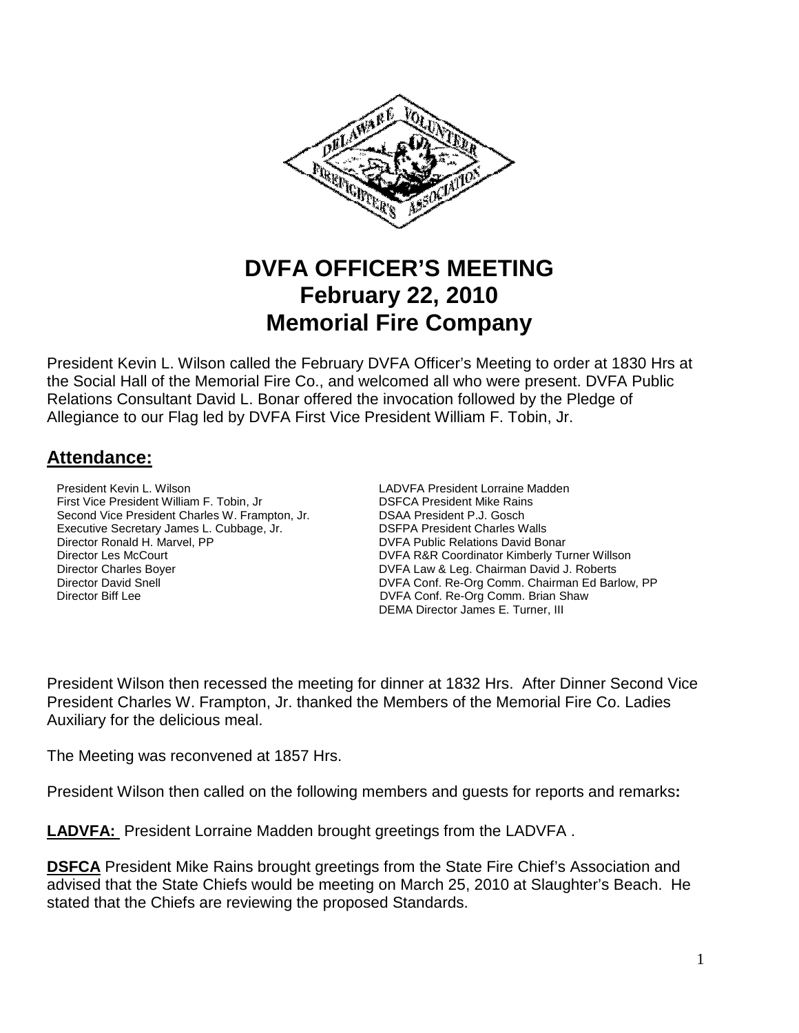

# **DVFA OFFICER'S MEETING February 22, 2010 Memorial Fire Company**

President Kevin L. Wilson called the February DVFA Officer's Meeting to order at 1830 Hrs at the Social Hall of the Memorial Fire Co., and welcomed all who were present. DVFA Public Relations Consultant David L. Bonar offered the invocation followed by the Pledge of Allegiance to our Flag led by DVFA First Vice President William F. Tobin, Jr.

## **Attendance:**

**President Kevin L. Wilson LADVFA President Lorraine Madden** First Vice President William F. Tobin, Jr. DSFCA President Mike Rains<br>Second Vice President Charles W. Frampton, Jr. DSAA President P.J. Gosch Second Vice President Charles W. Frampton, Jr. Executive Secretary James L. Cubbage, Jr. <br>
DISFPA President Charles Walls<br>
DISFA Public Relations David Bo<br>
DISFA Public Relations David Bo Director Les McCourt **DIRECTOR COUPS**<br>DIFECTOR Director Charles Bover **DIRECTOR COUPS**<br>DIRECTOR BOOT DIRECTOR & Leg. Chairman David J. Roberts Director Charles Boyer DVFA Law & Leg. Chairman David J. Roberts

DVFA Public Relations David Bonar Director David Snell **DIRECTOR CONFINENTIAL DIRECTOR CONFINENT** DVFA Conf. Re-Org Comm. Chairman Ed Barlow, PP<br>DIRECTOR DIRECTOR DVFA Conf. Re-Org Comm. Brian Shaw DVFA Conf. Re-Org Comm. Brian Shaw DEMA Director James E. Turner, III

President Wilson then recessed the meeting for dinner at 1832 Hrs. After Dinner Second Vice President Charles W. Frampton, Jr. thanked the Members of the Memorial Fire Co. Ladies Auxiliary for the delicious meal.

The Meeting was reconvened at 1857 Hrs.

President Wilson then called on the following members and guests for reports and remarks**:** 

**LADVFA:** President Lorraine Madden brought greetings from the LADVFA .

**DSFCA** President Mike Rains brought greetings from the State Fire Chief's Association and advised that the State Chiefs would be meeting on March 25, 2010 at Slaughter's Beach. He stated that the Chiefs are reviewing the proposed Standards.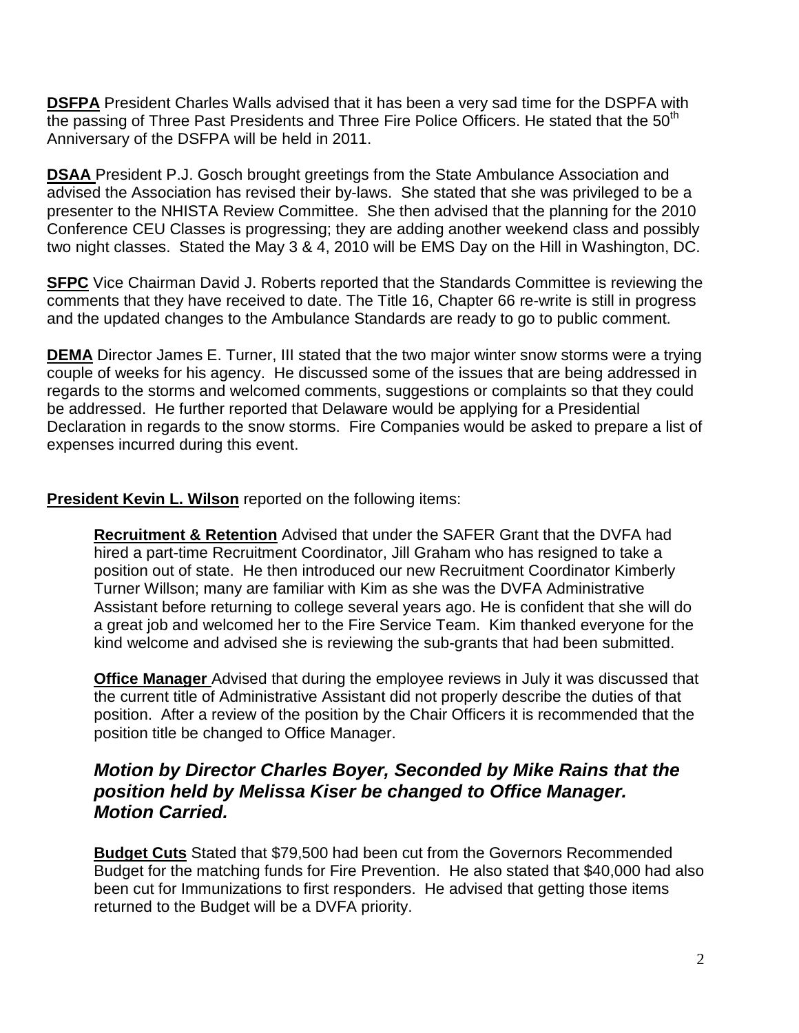**DSFPA** President Charles Walls advised that it has been a very sad time for the DSPFA with the passing of Three Past Presidents and Three Fire Police Officers. He stated that the 50<sup>th</sup> Anniversary of the DSFPA will be held in 2011.

**DSAA** President P.J. Gosch brought greetings from the State Ambulance Association and advised the Association has revised their by-laws. She stated that she was privileged to be a presenter to the NHISTA Review Committee. She then advised that the planning for the 2010 Conference CEU Classes is progressing; they are adding another weekend class and possibly two night classes. Stated the May 3 & 4, 2010 will be EMS Day on the Hill in Washington, DC.

**SFPC** Vice Chairman David J. Roberts reported that the Standards Committee is reviewing the comments that they have received to date. The Title 16, Chapter 66 re-write is still in progress and the updated changes to the Ambulance Standards are ready to go to public comment.

**DEMA** Director James E. Turner, III stated that the two major winter snow storms were a trying couple of weeks for his agency. He discussed some of the issues that are being addressed in regards to the storms and welcomed comments, suggestions or complaints so that they could be addressed. He further reported that Delaware would be applying for a Presidential Declaration in regards to the snow storms. Fire Companies would be asked to prepare a list of expenses incurred during this event.

**President Kevin L. Wilson** reported on the following items:

**Recruitment & Retention** Advised that under the SAFER Grant that the DVFA had hired a part-time Recruitment Coordinator, Jill Graham who has resigned to take a position out of state. He then introduced our new Recruitment Coordinator Kimberly Turner Willson; many are familiar with Kim as she was the DVFA Administrative Assistant before returning to college several years ago. He is confident that she will do a great job and welcomed her to the Fire Service Team. Kim thanked everyone for the kind welcome and advised she is reviewing the sub-grants that had been submitted.

**Office Manager** Advised that during the employee reviews in July it was discussed that the current title of Administrative Assistant did not properly describe the duties of that position. After a review of the position by the Chair Officers it is recommended that the position title be changed to Office Manager.

## **Motion by Director Charles Boyer, Seconded by Mike Rains that the position held by Melissa Kiser be changed to Office Manager. Motion Carried.**

**Budget Cuts** Stated that \$79,500 had been cut from the Governors Recommended Budget for the matching funds for Fire Prevention. He also stated that \$40,000 had also been cut for Immunizations to first responders. He advised that getting those items returned to the Budget will be a DVFA priority.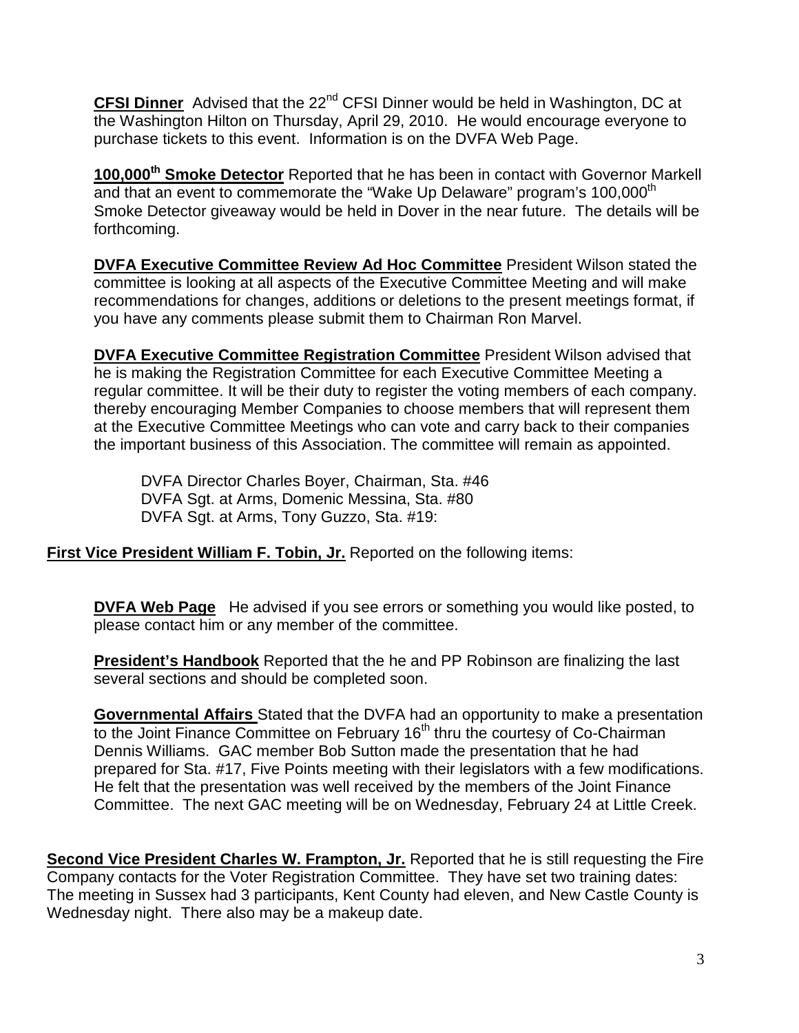**CFSI Dinner** Advised that the 22<sup>nd</sup> CFSI Dinner would be held in Washington, DC at the Washington Hilton on Thursday, April 29, 2010. He would encourage everyone to purchase tickets to this event. Information is on the DVFA Web Page.

**100,000th Smoke Detector** Reported that he has been in contact with Governor Markell and that an event to commemorate the "Wake Up Delaware" program's 100,000<sup>th</sup> Smoke Detector giveaway would be held in Dover in the near future. The details will be forthcoming.

**DVFA Executive Committee Review Ad Hoc Committee** President Wilson stated the committee is looking at all aspects of the Executive Committee Meeting and will make recommendations for changes, additions or deletions to the present meetings format, if you have any comments please submit them to Chairman Ron Marvel.

**DVFA Executive Committee Registration Committee** President Wilson advised that he is making the Registration Committee for each Executive Committee Meeting a regular committee. It will be their duty to register the voting members of each company. thereby encouraging Member Companies to choose members that will represent them at the Executive Committee Meetings who can vote and carry back to their companies the important business of this Association. The committee will remain as appointed.

 DVFA Director Charles Boyer, Chairman, Sta. #46 DVFA Sgt. at Arms, Domenic Messina, Sta. #80 DVFA Sgt. at Arms, Tony Guzzo, Sta. #19:

**First Vice President William F. Tobin, Jr.** Reported on the following items:

**DVFA Web Page** He advised if you see errors or something you would like posted, to please contact him or any member of the committee.

**President's Handbook** Reported that the he and PP Robinson are finalizing the last several sections and should be completed soon.

**Governmental Affairs** Stated that the DVFA had an opportunity to make a presentation to the Joint Finance Committee on February 16<sup>th</sup> thru the courtesy of Co-Chairman Dennis Williams. GAC member Bob Sutton made the presentation that he had prepared for Sta. #17, Five Points meeting with their legislators with a few modifications. He felt that the presentation was well received by the members of the Joint Finance Committee. The next GAC meeting will be on Wednesday, February 24 at Little Creek.

**Second Vice President Charles W. Frampton, Jr.** Reported that he is still requesting the Fire Company contacts for the Voter Registration Committee. They have set two training dates: The meeting in Sussex had 3 participants, Kent County had eleven, and New Castle County is Wednesday night. There also may be a makeup date.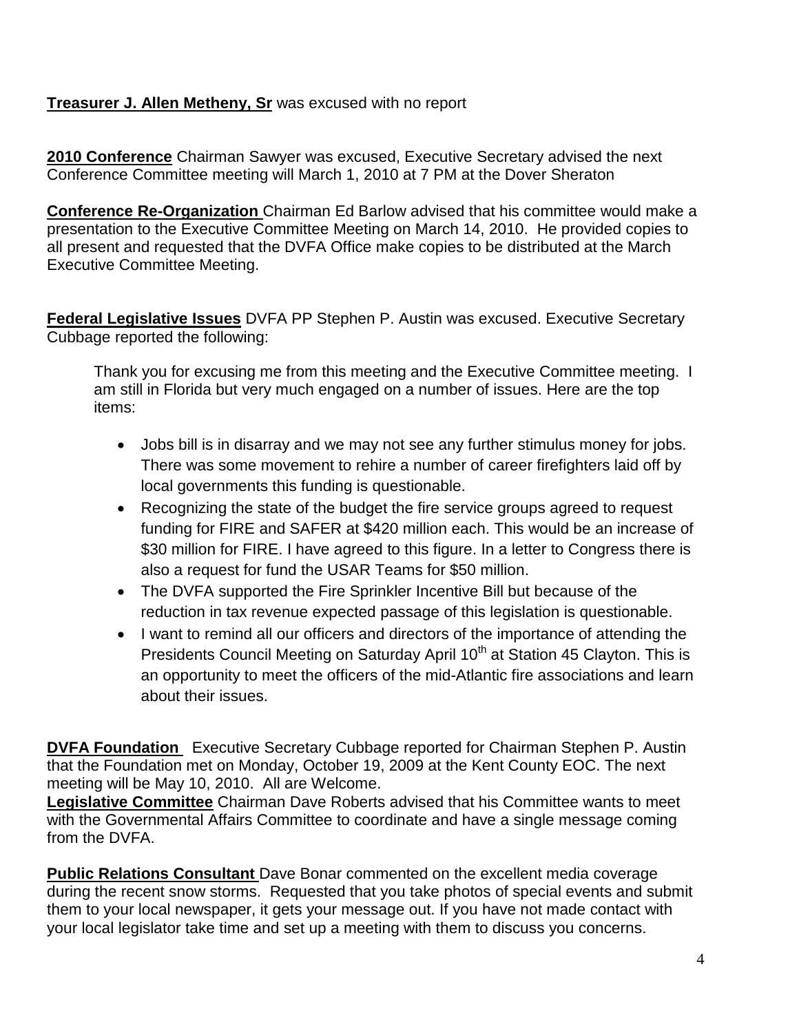#### **Treasurer J. Allen Metheny, Sr** was excused with no report

**2010 Conference** Chairman Sawyer was excused, Executive Secretary advised the next Conference Committee meeting will March 1, 2010 at 7 PM at the Dover Sheraton

**Conference Re-Organization** Chairman Ed Barlow advised that his committee would make a presentation to the Executive Committee Meeting on March 14, 2010. He provided copies to all present and requested that the DVFA Office make copies to be distributed at the March Executive Committee Meeting.

**Federal Legislative Issues** DVFA PP Stephen P. Austin was excused. Executive Secretary Cubbage reported the following:

Thank you for excusing me from this meeting and the Executive Committee meeting. I am still in Florida but very much engaged on a number of issues. Here are the top items:

- Jobs bill is in disarray and we may not see any further stimulus money for jobs. There was some movement to rehire a number of career firefighters laid off by local governments this funding is questionable.
- Recognizing the state of the budget the fire service groups agreed to request funding for FIRE and SAFER at \$420 million each. This would be an increase of \$30 million for FIRE. I have agreed to this figure. In a letter to Congress there is also a request for fund the USAR Teams for \$50 million.
- The DVFA supported the Fire Sprinkler Incentive Bill but because of the reduction in tax revenue expected passage of this legislation is questionable.
- I want to remind all our officers and directors of the importance of attending the Presidents Council Meeting on Saturday April 10<sup>th</sup> at Station 45 Clayton. This is an opportunity to meet the officers of the mid-Atlantic fire associations and learn about their issues.

**DVFA Foundation** Executive Secretary Cubbage reported for Chairman Stephen P. Austin that the Foundation met on Monday, October 19, 2009 at the Kent County EOC. The next meeting will be May 10, 2010. All are Welcome.

Legislative Committee Chairman Dave Roberts advised that his Committee wants to meet with the Governmental Affairs Committee to coordinate and have a single message coming from the DVFA.

**Public Relations Consultant** Dave Bonar commented on the excellent media coverage during the recent snow storms. Requested that you take photos of special events and submit them to your local newspaper, it gets your message out. If you have not made contact with your local legislator take time and set up a meeting with them to discuss you concerns.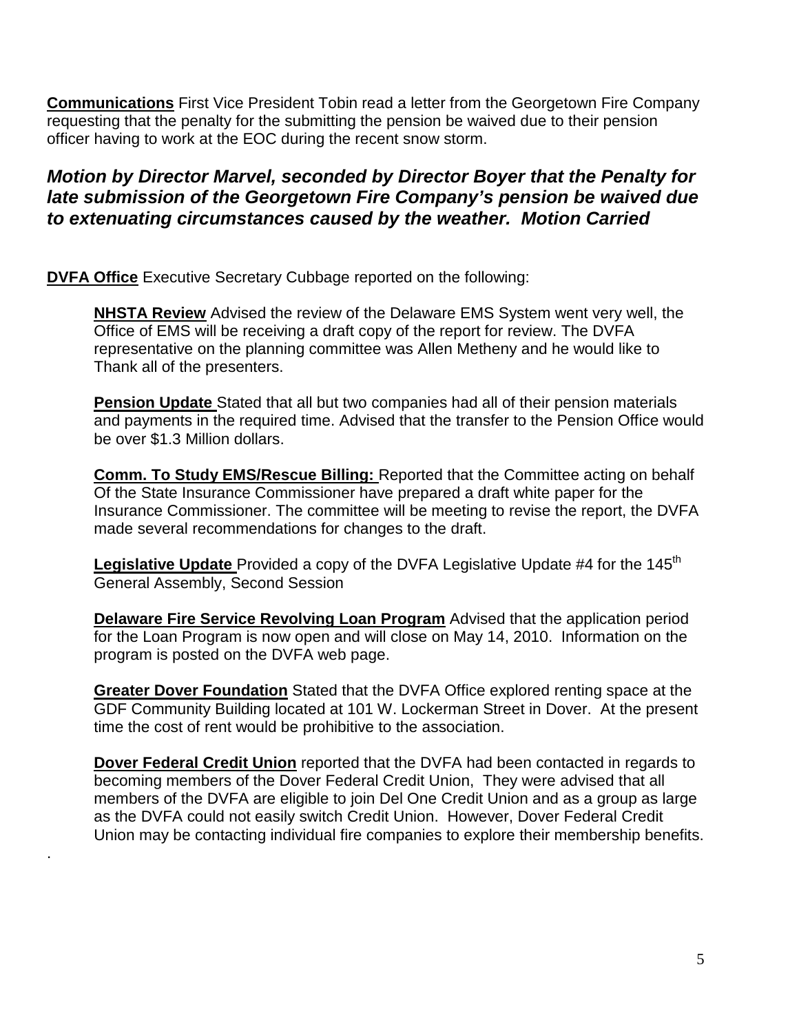**Communications** First Vice President Tobin read a letter from the Georgetown Fire Company requesting that the penalty for the submitting the pension be waived due to their pension officer having to work at the EOC during the recent snow storm.

## **Motion by Director Marvel, seconded by Director Boyer that the Penalty for late submission of the Georgetown Fire Company's pension be waived due to extenuating circumstances caused by the weather. Motion Carried**

**DVFA Office** Executive Secretary Cubbage reported on the following:

.

**NHSTA Review** Advised the review of the Delaware EMS System went very well, the Office of EMS will be receiving a draft copy of the report for review. The DVFA representative on the planning committee was Allen Metheny and he would like to Thank all of the presenters.

**Pension Update** Stated that all but two companies had all of their pension materials and payments in the required time. Advised that the transfer to the Pension Office would be over \$1.3 Million dollars.

**Comm. To Study EMS/Rescue Billing:** Reported that the Committee acting on behalf Of the State Insurance Commissioner have prepared a draft white paper for the Insurance Commissioner. The committee will be meeting to revise the report, the DVFA made several recommendations for changes to the draft.

Legislative Update Provided a copy of the DVFA Legislative Update #4 for the 145<sup>th</sup> General Assembly, Second Session

**Delaware Fire Service Revolving Loan Program** Advised that the application period for the Loan Program is now open and will close on May 14, 2010. Information on the program is posted on the DVFA web page.

**Greater Dover Foundation** Stated that the DVFA Office explored renting space at the GDF Community Building located at 101 W. Lockerman Street in Dover. At the present time the cost of rent would be prohibitive to the association.

**Dover Federal Credit Union** reported that the DVFA had been contacted in regards to becoming members of the Dover Federal Credit Union, They were advised that all members of the DVFA are eligible to join Del One Credit Union and as a group as large as the DVFA could not easily switch Credit Union. However, Dover Federal Credit Union may be contacting individual fire companies to explore their membership benefits.